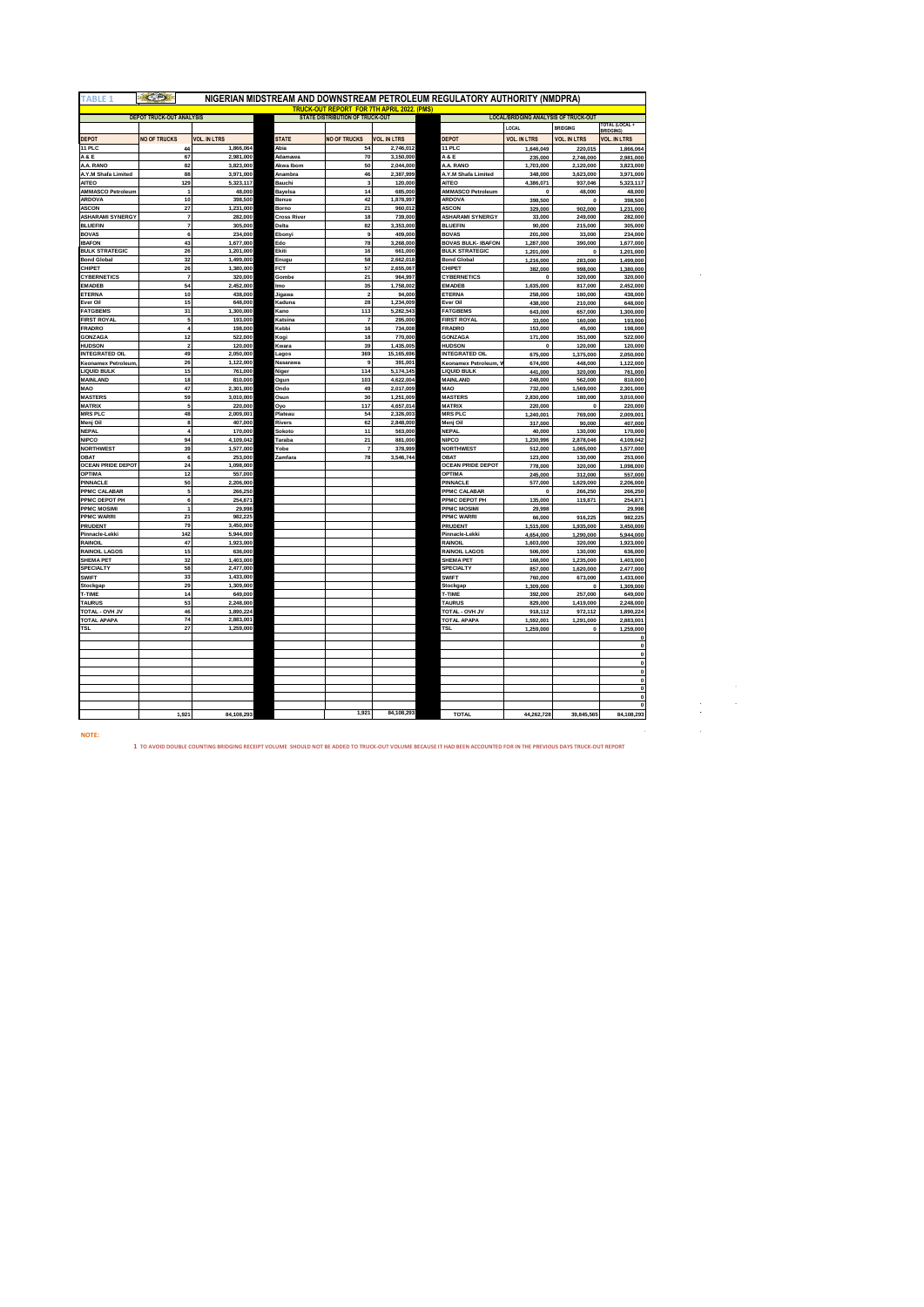| <b>TABLE 1</b>                           |                                  |                      | NIGERIAN MIDSTREAM AND DOWNSTREAM PETROLEUM REGULATORY AUTHORITY (NMDPRA) |                                                                                             |                        |                                             |                                             |                      |                                        |
|------------------------------------------|----------------------------------|----------------------|---------------------------------------------------------------------------|---------------------------------------------------------------------------------------------|------------------------|---------------------------------------------|---------------------------------------------|----------------------|----------------------------------------|
|                                          |                                  |                      |                                                                           | <b>TRUCK-OUT REPORT FOR 7TH APRIL 2022. (PMS)</b><br><b>STATE DISTRIBUTION OF TRUCK-OUT</b> |                        |                                             | <b>LOCAL/BRIDGING ANALYSIS OF TRUCK-OUT</b> |                      |                                        |
|                                          | <b>DEPOT TRUCK-OUT ANALYSIS</b>  |                      |                                                                           |                                                                                             |                        |                                             | LOCAL                                       | <b>BRIDGING</b>      | TOTAL (LOCAL +                         |
| DEPOT                                    | <b>NO OF TRUCKS</b>              | <b>VOL. IN LTRS</b>  | <b>STATE</b>                                                              | <b>NO OF TRUCKS</b>                                                                         | <b>VOL. IN LTRS</b>    | DEPOT                                       | <b>VOL. IN LTRS</b>                         | <b>VOL. IN LTRS</b>  | <b>RRIDGING</b><br><b>VOL. IN LTRS</b> |
| 11 PLC                                   | 44                               | 1,866,064            | Abia                                                                      | 54                                                                                          | 2,746,012              | 11 PLC                                      | 1,646,049                                   | 220,015              | 1,866,064                              |
| A & E                                    | 67                               | 2,981,000            | Adamawa                                                                   | 70                                                                                          | 3,150,000              | <b>A&amp;E</b>                              | 235,000                                     | 2,746,000            | 2,981,000                              |
| A.A. RANO                                | 82                               | 3,823,000            | Akwa Ibom                                                                 | 50                                                                                          | 2,044,000              | A.A. RANO                                   | 1,703,000                                   | 2,120,000            | 3,823,000                              |
| A.Y.M Shafa Limited                      | 88                               | 3,971,000            | Anambra                                                                   | 46<br>3                                                                                     | 2,387,999              | A.Y.M Shafa Limited                         | 348,000                                     | 3,623,000            | 3,971,000                              |
| <b>AITEO</b><br><b>AMMASCO Petroleum</b> | 129<br>$\ddot{\phantom{0}}$      | 5,323,117<br>48,000  | Bauchi<br>Bayelsa                                                         | 14                                                                                          | 120,000<br>685,000     | <b>AITEO</b><br>AMMASCO Petroleum           | 4,386,071<br>$\mathbf{0}$                   | 937,046<br>48,000    | 5,323,117<br>48,000                    |
| ARDOVA                                   | 10                               | 398,500              | Benue                                                                     | 42                                                                                          | 1,878,997              | ARDOVA                                      | 398,500                                     | $\Omega$             | 398,500                                |
| <b>ASCON</b>                             | 27                               | 1.231.000            | Borno                                                                     | 21                                                                                          | 960.012                | <b>ASCON</b>                                | 329,000                                     | 902.000              | 1,231,000                              |
| <b>ASHARAMI SYNERGY</b>                  | $\overline{7}$<br>$\overline{7}$ | 282,000<br>305,000   | <b>Cross River</b><br>Delta                                               | 18<br>82                                                                                    | 739,000                | <b>ASHARAMI SYNERGY</b><br><b>BLUEFIN</b>   | 33,000                                      | 249,000              | 282,000                                |
| <b>BLUEFIN</b><br><b>BOVAS</b>           | 6                                | 234,000              | Ebonyi                                                                    | $\overline{a}$                                                                              | 3,353,000<br>409,000   | <b>BOVAS</b>                                | 90,000<br>201,000                           | 215,000<br>33,000    | 305,000<br>234,000                     |
| <b>IBAFON</b>                            | 43                               | 1.677.000            | Edo                                                                       | 78                                                                                          | 3,268,000              | <b>BOVAS BULK- IBAFON</b>                   | 1,287,000                                   | 390,000              | 1,677,000                              |
| <b>BULK STRATEGIC</b>                    | 26                               | 1,201,000            | Ekiti                                                                     | 16                                                                                          | 661,000                | <b>BULK STRATEGIC</b>                       | 1,201,000                                   | $\mathbf 0$          | 1,201,000                              |
| <b>Bond Global</b>                       | 32                               | 1,499,000            | Enugu                                                                     | 58                                                                                          | 2,662,018              | <b>Bond Global</b>                          | 1,216,000                                   | 283,000              | 1,499,000                              |
| CHIPET<br>CYBERNETICS                    | 26<br>$\overline{7}$             | 1,380,000<br>320,000 | FCT                                                                       | 57<br>21                                                                                    | 2,655,067<br>964,997   | CHIPET<br><b>CYBERNETICS</b>                | 382,000<br>$\mathbf 0$                      | 998,000<br>320,000   | 1,380,000<br>320,000                   |
| <b>EMADEB</b>                            | 54                               | 2,452,000            | Gombe<br>lmo                                                              | 35                                                                                          | 1,758,002              | <b>EMADEB</b>                               | 1,635,000                                   | 817,000              | 2,452,000                              |
| ETERNA                                   | 10                               | 438,000              | Jigawa                                                                    | $\overline{\mathbf{2}}$                                                                     | 94,000                 | ETERNA                                      | 258,000                                     | 180,000              | 438,000                                |
| Ever Oil                                 | 15                               | 648,000              | Kaduna                                                                    | 28                                                                                          | 1,234,009              | Ever Oil                                    | 438,000                                     | 210,000              | 648,000                                |
| <b>FATGBEMS</b>                          | 31                               | 1,300,000            | Kano                                                                      | 113                                                                                         | 5,282,543              | <b>FATGBEMS</b>                             | 643,000                                     | 657,000              | 1,300,000                              |
| <b>FIRST ROYAL</b><br>FRADRO             | 5<br>4                           | 193,000<br>198,000   | Katsina<br>Kebbi                                                          | $\overline{7}$<br>16                                                                        | 295,000<br>734,008     | <b>FIRST ROYAL</b><br><b>FRADRO</b>         | 33,000<br>153,000                           | 160,000<br>45,000    | 193,000<br>198,000                     |
| <b>GONZAGA</b>                           | 12                               | 522,000              | Kogi                                                                      | 18                                                                                          | 770,000                | GONZAGA                                     | 171,000                                     | 351,000              | 522,000                                |
| HUDSON                                   | $\overline{\mathbf{2}}$          | 120,000              | Kwara                                                                     | 39                                                                                          | 1,435,005              | <b>HUDSON</b>                               | $\mathbf 0$                                 | 120,000              | 120,000                                |
| <b>INTEGRATED OIL</b>                    | 49                               | 2,050,000            | Lagos                                                                     | 369                                                                                         | 15,165,696             | <b>INTEGRATED OIL</b>                       | 675,000                                     | 1,375,000            | 2,050,000                              |
| Keonamex Petroleum<br><b>LIQUID BULK</b> | 26<br>15                         | 1,122,000<br>761,000 | Nasarawa                                                                  | 9<br>114                                                                                    | 391,001<br>5,174,145   | Keonamex Petroleum, V<br><b>LIQUID BULK</b> | 674,000<br>441,000                          | 448,000<br>320,000   | 1,122,000<br>761,000                   |
| MAINLAND                                 | 18                               | 810,000              | Niger<br>Ogun                                                             | 103                                                                                         | 4,622,004              | MAINLAND                                    | 248,000                                     | 562,000              | 810,000                                |
| MAO                                      | 47                               | 2,301,000            | Ondo                                                                      | 49                                                                                          | 2,017,009              | MAO                                         | 732,000                                     | 1,569,000            | 2,301,000                              |
| <b>MASTERS</b>                           | 59                               | 3,010,000            | Osun                                                                      | 30                                                                                          | 1,251,009              | <b>MASTERS</b>                              | 2,830,000                                   | 180,000              | 3,010,000                              |
| <b>MATRIX</b><br><b>MRS PLC</b>          | 5<br>48                          | 220,000<br>2,009,001 | Oyo<br>Plateau                                                            | 117<br>54                                                                                   | 4,657,014<br>2,326,003 | <b>MATRIX</b><br><b>MRS PLC</b>             | 220,000                                     | $\Omega$             | 220,000                                |
| Menj Oil                                 | 8                                | 407,000              | Rivers                                                                    | 62                                                                                          | 2,848,000              | Menj Oil                                    | 1,240,001<br>317,000                        | 769,000<br>90,000    | 2,009,001<br>407,000                   |
| <b>NEPAL</b>                             | $\boldsymbol{A}$                 | 170,000              | Sokoto                                                                    | 11                                                                                          | 563,000                | <b>NEPAL</b>                                | 40,000                                      | 130,000              | 170,000                                |
| <b>NIPCO</b>                             | 94                               | 4,109,042            | Taraba                                                                    | 21                                                                                          | 881,000                | <b>NIPCO</b>                                | 1,230,996                                   | 2,878,046            | 4,109,042                              |
| <b>NORTHWEST</b>                         | 39                               | 1,577,000            | Yobe                                                                      | $\overline{7}$                                                                              | 378,999                | <b>NORTHWEST</b>                            | 512,000                                     | 1,065,000            | 1,577,000                              |
| OBAT<br><b>OCEAN PRIDE DEPOT</b>         | 6<br>24                          | 253,000<br>1,098,000 | Zamfara                                                                   | 78                                                                                          | 3,546,744              | OBAT<br><b>OCEAN PRIDE DEPOT</b>            | 123,000<br>778,000                          | 130,000<br>320,000   | 253,000<br>1,098,000                   |
| OPTIMA                                   | 12                               | 557,000              |                                                                           |                                                                                             |                        | OPTIMA                                      | 245,000                                     | 312,000              | 557,000                                |
| PINNACLE                                 | 50                               | 2,206,000            |                                                                           |                                                                                             |                        | PINNACLE                                    | 577,000                                     | 1,629,000            | 2,206,000                              |
| PPMC CALABAR                             | 5                                | 266,250              |                                                                           |                                                                                             |                        | PPMC CALABAR                                | $\mathbf 0$                                 | 266,250              | 266,250                                |
| PPMC DEPOT PH<br>PPMC MOSIMI             | 6<br>$\ddot{\phantom{0}}$        | 254,871<br>29,998    |                                                                           |                                                                                             |                        | PPMC DEPOT PH<br><b>PPMC MOSIMI</b>         | 135,000<br>29,998                           | 119,871              | 254,871<br>29,998                      |
| <b>PPMC WARRI</b>                        | 21                               | 982,225              |                                                                           |                                                                                             |                        | <b>PPMC WARRI</b>                           | 66,000                                      | 916,225              | 982,225                                |
| PRUDENT                                  | 79                               | 3,450,000            |                                                                           |                                                                                             |                        | PRUDENT                                     | 1,515,000                                   | 1,935,000            | 3,450,000                              |
| Pinnacle-Lekki                           | 142                              | 5,944,000            |                                                                           |                                                                                             |                        | Pinnacle-Lekki                              | 4,654,000                                   | 1,290,000            | 5,944,000                              |
| RAINOIL<br><b>RAINOIL LAGOS</b>          | 47<br>15                         | 1,923,000            |                                                                           |                                                                                             |                        | RAINOIL<br><b>RAINOIL LAGOS</b>             | 1,603,000                                   | 320,000              | 1,923,000                              |
| <b>SHEMA PET</b>                         | 32                               | 636,000<br>1,403,000 |                                                                           |                                                                                             |                        | <b>SHEMA PET</b>                            | 506,000<br>168,000                          | 130,000<br>1,235,000 | 636,000<br>1,403,000                   |
| SPECIALTY                                | 58                               | 2,477,000            |                                                                           |                                                                                             |                        | <b>SPECIALTY</b>                            | 857,000                                     | 1,620,000            | 2,477,000                              |
| <b>SWIFT</b>                             | 33                               | 1,433,000            |                                                                           |                                                                                             |                        | <b>SWIFT</b>                                | 760,000                                     | 673,000              | 1,433,000                              |
| Stockgap                                 | 29                               | 1,309,000            |                                                                           |                                                                                             |                        | Stockgap                                    | 1,309,000                                   | $\mathbf 0$          | 1,309,000                              |
| T-TIME<br><b>TAURUS</b>                  | 14<br>53                         | 649,000<br>2,248,000 |                                                                           |                                                                                             |                        | T-TIME<br><b>TAURUS</b>                     | 392,000<br>829,000                          | 257,000<br>1,419,000 | 649,000<br>2,248,000                   |
| TOTAL - OVH JV                           | 46                               | 1,890,224            |                                                                           |                                                                                             |                        | TOTAL - OVH JV                              | 918,112                                     | 972,112              | 1,890,224                              |
| TOTAL APAPA                              | 74                               | 2,883,001            |                                                                           |                                                                                             |                        | <b>TOTAL APAPA</b>                          | 1,592,001                                   | 1,291,000            | 2,883,001                              |
| TSL                                      | 27                               | 1,259,000            |                                                                           |                                                                                             |                        | TSL                                         | 1,259,000                                   | $\mathbf 0$          | 1,259,000                              |
|                                          |                                  |                      |                                                                           |                                                                                             |                        |                                             |                                             |                      |                                        |
|                                          |                                  |                      |                                                                           |                                                                                             |                        |                                             |                                             |                      |                                        |
|                                          |                                  |                      |                                                                           |                                                                                             |                        |                                             |                                             |                      |                                        |
|                                          |                                  |                      |                                                                           |                                                                                             |                        |                                             |                                             |                      |                                        |
|                                          |                                  |                      |                                                                           |                                                                                             |                        |                                             |                                             |                      |                                        |
|                                          |                                  |                      |                                                                           |                                                                                             |                        |                                             |                                             |                      |                                        |
|                                          |                                  |                      |                                                                           |                                                                                             |                        |                                             |                                             |                      |                                        |
|                                          | 1,921                            | 84,108,293           |                                                                           | 1,921                                                                                       | 84,108,293             | TOTAL                                       | 44,262,728                                  | 39,845,565           | 84,108,293                             |

**NOTE:** 

**1 TO AVOID DOUBLE COUNTING BRIDGING RECEIPT VOLUME SHOULD NOT BE ADDED TO TRUCK-OUT VOLUME BECAUSE IT HAD BEEN ACCOUNTED FOR IN THE PREVIOUS DAYS TRUCK-OUT REPORT**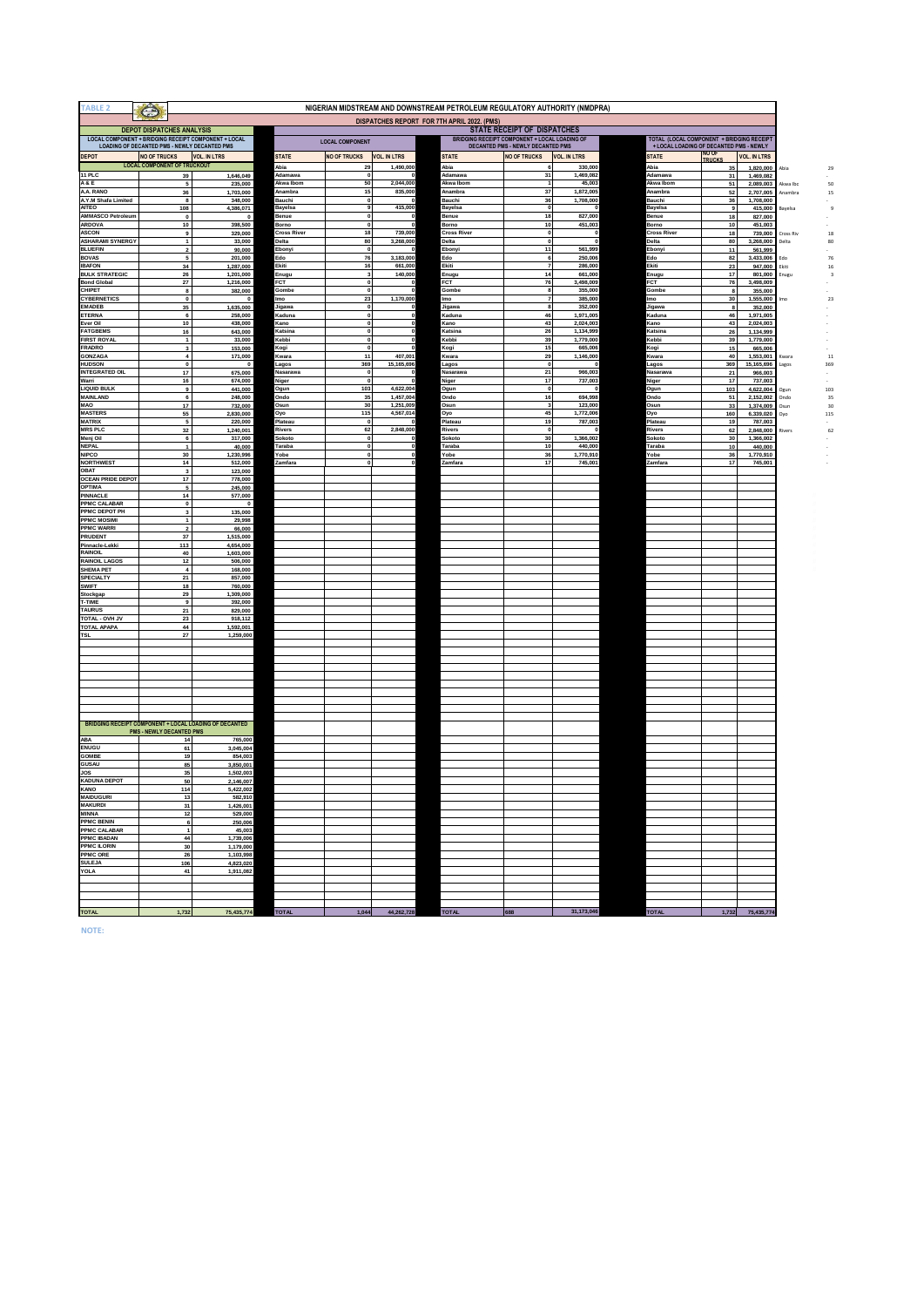| <b>TABLE 2</b>                           | $\bigodot$                                          |                                                        |                          |                               |                       | NIGERIAN MIDSTREAM AND DOWNSTREAM PETROLEUM REGULATORY AUTHORITY (NMDPRA)          |                                |                      |                               |                                                                                      |
|------------------------------------------|-----------------------------------------------------|--------------------------------------------------------|--------------------------|-------------------------------|-----------------------|------------------------------------------------------------------------------------|--------------------------------|----------------------|-------------------------------|--------------------------------------------------------------------------------------|
|                                          |                                                     |                                                        |                          |                               |                       | DISPATCHES REPORT FOR 7TH APRIL 2022. (PMS)                                        |                                |                      |                               |                                                                                      |
|                                          | <b>DEPOT DISPATCHES ANALYSIS</b>                    |                                                        |                          |                               |                       |                                                                                    | STATE RECEIPT OF DISPATCHES    |                      |                               |                                                                                      |
|                                          | <b>LOADING OF DECANTED PMS - NEWLY DECANTED PMS</b> | LOCAL COMPONENT + BRIDGING RECEIPT COMPONENT + LOCAL   |                          | <b>LOCAL COMPONENT</b>        |                       | BRIDGING RECEIPT COMPONENT + LOCAL LOADING OF<br>DECANTED PMS - NEWLY DECANTED PMS |                                |                      |                               | TOTAL (LOCAL COMPONENT + BRIDGING RECEIPT<br>+ LOCAL LOADING OF DECANTED PMS - NEWLY |
| DEPOT                                    | <b>NO OF TRUCKS</b>                                 | <b>VOL. IN LTRS</b>                                    | STATE                    | <b>NO OF TRUCKS</b>           | <b>VOL. IN LTRS</b>   | STATE                                                                              | <b>NO OF TRUCKS</b>            | <b>VOL. IN LTRS</b>  | <b>STATE</b>                  | NO OF<br><b>VOL. IN LTRS</b><br>TRUCKS                                               |
|                                          | <b>LOCAL COMPONENT OF TRUCKOUT</b>                  |                                                        | <b>bia</b>               | 29                            | 1,490,000             | Abia                                                                               |                                | 330,000              | Abia                          | 1,820,000<br>35                                                                      |
| 11 PLC                                   | 39                                                  | 1,646,049                                              | Adamawa                  | $\overline{\mathbf{0}}$       |                       | Adamawa                                                                            | 31                             | 1,469,082            | Adamawa                       | 31<br>1,469,082                                                                      |
| A&E                                      | 5                                                   | 235,000                                                | Akwa Ibom                | 50                            | 2,044,000             | Akwa Ibom                                                                          | 7                              | 45,003               | Akwa Ibom                     | 51<br>2,089,003                                                                      |
| A.A. RANO                                | 36                                                  | 1,703,000                                              | Anambra                  | 15                            | 835,000               | Anambra                                                                            | 37                             | 1,872,005            | Anambra                       | 52<br>2,707,005                                                                      |
| A.Y.M Shafa Limited<br><b>AITEO</b>      | 8<br>108                                            | 348,000<br>4,386,071                                   | Bauchi<br><b>Jayelsa</b> | 0<br>9                        | 415,000               | Bauchi<br>layelsa                                                                  | 36<br>$\overline{\phantom{a}}$ | 1,708,000            | Bauchi<br>Bayelsa             | 1,708,000<br>36<br>415,000<br>9                                                      |
| AMMASCO Petroleum                        | $\pmb{0}$                                           | $\overline{\mathbf{0}}$                                | Benue                    | $\overline{\mathbf{0}}$       |                       | Benue                                                                              | 18                             | 827,000              | Benue                         | 18<br>827,000                                                                        |
| <b>ARDOVA</b>                            | 10                                                  | 398,500                                                | Borno                    | $\overline{\mathbf{0}}$       |                       | Borno                                                                              | 10                             | 451,003              | Borno                         | 10<br>451,003                                                                        |
| <b>ASCON</b>                             | 9                                                   | 329,000                                                | <b>Cross River</b>       | 18                            | 739,000               | <b>Cross River</b>                                                                 | $\mathbf{0}$                   | $\mathbf 0$          | <b>Cross River</b>            | 18<br>739,000                                                                        |
| <b>ASHARAMI SYNERGY</b>                  | $\overline{1}$                                      | 33,000                                                 | Delta                    | 80                            | 3,268,000             | Delta                                                                              | $\mathbf{0}$                   |                      | Delta                         | 80<br>3,268,000                                                                      |
| <b>BLUEFIN</b>                           | $\overline{2}$<br>5                                 | 90,000                                                 | Ebonyi<br>Edo            | $\mathbf 0$<br>76             | 3,183,000             | Ebonyi<br>Edo                                                                      | $\overline{11}$<br>6           | 561,999<br>250,006   | Ebony<br>Edo                  | 11<br>561,999<br>82<br>3,433,006                                                     |
| <b>BOVAS</b><br><b>IBAFON</b>            | 34                                                  | 201,000<br>1,287,000                                   | Ekiti                    | 16                            | 661,000               | Ekiti                                                                              |                                | 286,000              | Ekiti                         | 23<br>947,000                                                                        |
| <b>BULK STRATEGIC</b>                    | 26                                                  | 1.201.000                                              | Enugu                    | 3                             | 140,000               | Enugu                                                                              | 14                             | 661,000              | Enugu                         | 17<br>801,000                                                                        |
| <b>Bond Global</b>                       | 27                                                  | 1,216,000                                              | <b>FCT</b>               | $\mathbf{0}$                  |                       | <b>FCT</b>                                                                         | 76                             | 3,498,009            | <b>FCT</b>                    | 76<br>3,498,009                                                                      |
| CHIPET                                   | 8                                                   | 382,000                                                | Gombe                    | $\overline{\mathbf{0}}$       |                       | Gombe                                                                              | 8                              | 355,000              | Gombe                         | 8<br>355,000                                                                         |
| <b>CYBERNETICS</b><br><b>EMADEB</b>      | $\mathbf{0}$<br>35                                  | $\mathbf 0$<br>1,635,000                               | Imo<br>Jigawa            | 23<br>$\overline{\mathbf{0}}$ | 1,170,000             | Imo<br>Jigawa                                                                      | 8                              | 385,000<br>352,000   | Imo<br>Jigawa                 | 30 <sup>1</sup><br>1,555,000<br>8<br>352,000                                         |
| <b>ETERNA</b>                            | $6\phantom{a}$                                      | 258,000                                                | Kaduna                   | $\overline{0}$                |                       | Kaduna                                                                             | 46                             | 1.971.005            | Kaduna                        | 46<br>1,971,005                                                                      |
| Ever Oil                                 | 10                                                  | 438,000                                                | Kano                     | $\overline{\mathbf{0}}$       |                       | Kano                                                                               | 43                             | 2,024,003            | Kano                          | 43<br>2,024,003                                                                      |
| <b>FATGBEMS</b>                          | 16                                                  | 643,000                                                | Katsina                  | $\Omega$                      |                       | Katsina                                                                            | 26                             | 1,134,999            | Katsina                       | 26<br>1,134,999                                                                      |
| <b>FIRST ROYAL</b>                       | $\overline{1}$                                      | 33,000                                                 | Kebbi                    | $\Omega$                      |                       | Kebbi                                                                              | 39                             | 1,779,000            | Kebbi                         | 39<br>1,779,000                                                                      |
| <b>FRADRO</b>                            | $\overline{\mathbf{3}}$                             | 153,000                                                | Kogi                     | $\Omega$<br>11                |                       | Kogi                                                                               | 15<br>29                       | 665,006              | Kogi                          | 15<br>665,006                                                                        |
| GONZAGA<br><b>HUDSON</b>                 | $\overline{4}$<br>$\mathbf 0$                       | 171,000<br>$\mathbf 0$                                 | Kwara<br>Lagos           | 369                           | 407,001<br>15,165,696 | Kwara<br>Lagos                                                                     | $\Omega$                       | 1,146,000            | Kwara<br>Lagos                | 40<br>1,553,001<br>369<br>15,165,696                                                 |
| <b>INTEGRATED OIL</b>                    | $17$                                                | 675,000                                                | Nasarawa                 | $\Omega$                      |                       | Nasarawa                                                                           | 21                             | 966,003              | <b>Nasarawa</b>               | 21<br>966,003                                                                        |
|                                          | 16                                                  | 674,000                                                | Niger                    | $\theta$                      |                       | Niger                                                                              | 17                             | 737,003              | Niger                         | 17<br>737,003                                                                        |
| <b>LIQUID BULK</b>                       | $\mathbf 9$                                         | 441,000                                                | Ogun                     | 103                           | 4,622,004             | Ogun                                                                               | $\Omega$                       |                      | Ogun                          | 103<br>4,622,004                                                                     |
| <b>MAINLAND</b>                          | 6                                                   | 248,000                                                | Ondo                     | 35                            | 1,457,004             | <b>Ondo</b>                                                                        | 16                             | 694,998              | Ondo                          | 51<br>2,152,002                                                                      |
|                                          | 17                                                  | 732,000                                                | Osun                     | 30<br>115                     | 1,251,009             | Osun                                                                               | $\overline{3}$<br>45           | 123,000              | Osun                          | 33<br>1,374,009                                                                      |
| <b>MASTERS</b><br><b>MATRIX</b>          | 55<br>5                                             | 2,830,000<br>220,000                                   | Oyo<br>lateau            | $\pmb{\mathsf{o}}$            | 4,567,014             | Oyo<br>Plateau                                                                     | 19                             | 1,772,006<br>787,003 | Oyo<br>Plateau                | 160<br>6,339,020<br>19<br>787,003                                                    |
| <b>MRS PLC</b>                           | 32                                                  | 1,240,001                                              | Rivers                   | 62                            | 2,848,000             | Rivers                                                                             | $\pmb{\mathsf{o}}$             |                      | Rivers                        | 62<br>2,848,000                                                                      |
| Menj Oil                                 | $\bf{6}$                                            | 317,000                                                | iokoto                   | $\overline{\mathbf{0}}$       |                       | Sokoto                                                                             | 30                             | 1,366,002            | Sokota                        | 30<br>1,366,002                                                                      |
| <b>NEPAL</b>                             | $\mathbf{1}$                                        | 40,000                                                 | 'araba                   | o                             |                       | Taraba                                                                             | 10                             | 440,000              | Taraba                        | $10\,$<br>440,000                                                                    |
| NIPCO                                    | 30                                                  | 1,230,996                                              | 'obe                     | $\mathbf 0$<br>$\mathbf{a}$   |                       | obe                                                                                | 36                             | 1,770,910            | robe                          | 36<br>1,770,910                                                                      |
| <b>NORTHWEST</b><br>OBAT                 | 14<br>$\overline{\mathbf{3}}$                       | 512,000<br>123,000                                     | Zamfara                  |                               |                       | Zamfara                                                                            | 17                             | 745,001              | Zamfara                       | 17<br>745,001                                                                        |
| <b>OCEAN PRIDE DEPOT</b>                 | 17                                                  | 778,000                                                |                          |                               |                       |                                                                                    |                                |                      |                               |                                                                                      |
| <b>OPTIMA</b>                            | $\sqrt{5}$                                          | 245,000                                                |                          |                               |                       |                                                                                    |                                |                      |                               |                                                                                      |
| PINNACLE                                 | 14                                                  | 577,000                                                |                          |                               |                       |                                                                                    |                                |                      |                               |                                                                                      |
| PPMC CALABAR                             | $\pmb{0}$                                           | <b>C</b>                                               |                          |                               |                       |                                                                                    |                                |                      |                               |                                                                                      |
| PPMC DEPOT PH<br><b>PPMC MOSIMI</b>      | $\overline{\mathbf{3}}$<br>$\mathbf{1}$             | 135,000<br>29,998                                      |                          |                               |                       |                                                                                    |                                |                      |                               |                                                                                      |
| <b>PPMC WARRI</b>                        | $\overline{2}$                                      | 66,000                                                 |                          |                               |                       |                                                                                    |                                |                      |                               |                                                                                      |
| PRUDENT                                  | 37                                                  | 1,515,000                                              |                          |                               |                       |                                                                                    |                                |                      |                               |                                                                                      |
| Pinnacle-Lekki                           | 113                                                 | 4.654.000                                              |                          |                               |                       |                                                                                    |                                |                      |                               |                                                                                      |
| RAINOIL                                  | 40                                                  | 1,603,000                                              |                          |                               |                       |                                                                                    |                                |                      |                               |                                                                                      |
| <b>RAINOIL LAGOS</b><br><b>SHEMA PET</b> | 12<br>$\overline{4}$                                | 506,000<br>168,000                                     |                          |                               |                       |                                                                                    |                                |                      |                               |                                                                                      |
| <b>SPECIALTY</b>                         | 21                                                  | 857,000                                                |                          |                               |                       |                                                                                    |                                |                      |                               |                                                                                      |
| <b>SWIFT</b>                             | 18                                                  | 760,000                                                |                          |                               |                       |                                                                                    |                                |                      |                               |                                                                                      |
| Stockgap                                 | 29                                                  | 1,309,000                                              |                          |                               |                       |                                                                                    |                                |                      |                               |                                                                                      |
|                                          | $\mathbf{a}$                                        | 392,000                                                |                          |                               |                       |                                                                                    |                                |                      |                               |                                                                                      |
| <b>TAURUS</b><br><b>VI. HVO - JATOT</b>  | 21                                                  | 829,000                                                |                          |                               |                       |                                                                                    |                                |                      |                               |                                                                                      |
| <b>TOTAL APAPA</b>                       | 23<br>44                                            | 918,112<br>1,592,001                                   |                          |                               |                       |                                                                                    |                                |                      |                               |                                                                                      |
|                                          | 27                                                  | 1,259,000                                              |                          |                               |                       |                                                                                    |                                |                      |                               |                                                                                      |
|                                          |                                                     |                                                        |                          |                               |                       |                                                                                    |                                |                      |                               |                                                                                      |
|                                          |                                                     |                                                        |                          |                               |                       |                                                                                    |                                |                      |                               |                                                                                      |
|                                          |                                                     |                                                        |                          |                               |                       |                                                                                    |                                |                      |                               |                                                                                      |
|                                          |                                                     |                                                        |                          |                               |                       |                                                                                    |                                |                      |                               |                                                                                      |
|                                          |                                                     |                                                        |                          |                               |                       |                                                                                    |                                |                      |                               |                                                                                      |
|                                          |                                                     |                                                        |                          |                               |                       |                                                                                    |                                |                      |                               |                                                                                      |
|                                          |                                                     |                                                        |                          |                               |                       |                                                                                    |                                |                      |                               |                                                                                      |
|                                          |                                                     |                                                        |                          |                               |                       |                                                                                    |                                |                      |                               |                                                                                      |
|                                          |                                                     | BRIDGING RECEIPT COMPONENT + LOCAL LOADING OF DECANTED |                          |                               |                       |                                                                                    |                                |                      |                               |                                                                                      |
|                                          | PMS - NEWLY DECANTED PMS                            |                                                        |                          |                               |                       |                                                                                    |                                |                      |                               |                                                                                      |
| <b>ENUGU</b>                             | 14                                                  | 765,000                                                |                          |                               |                       |                                                                                    |                                |                      |                               |                                                                                      |
|                                          | 61                                                  | 3,045,004                                              |                          |                               |                       |                                                                                    |                                |                      |                               |                                                                                      |
| GOMBE<br><b>GUSAU</b>                    | 19<br>85                                            | 854,003                                                |                          |                               |                       |                                                                                    |                                |                      |                               |                                                                                      |
|                                          | 35                                                  | 3,850,001<br>1,502,003                                 |                          |                               |                       |                                                                                    |                                |                      |                               |                                                                                      |
| <b>KADUNA DEPOT</b>                      | 50                                                  | 2,146,007                                              |                          |                               |                       |                                                                                    |                                |                      |                               |                                                                                      |
|                                          | 114                                                 | 5,422,002                                              |                          |                               |                       |                                                                                    |                                |                      |                               |                                                                                      |
| <b>MAIDUGURI</b>                         | 13                                                  | 582.910                                                |                          |                               |                       |                                                                                    |                                |                      |                               |                                                                                      |
| <b>MAKURDI</b><br><b>MINNA</b>           | 31                                                  | 1,426,00                                               |                          |                               |                       |                                                                                    |                                |                      |                               |                                                                                      |
| <b>PPMC BENIN</b>                        | 12<br>6                                             | 529,000                                                |                          |                               |                       |                                                                                    |                                |                      |                               |                                                                                      |
| <b>PPMC CALABAR</b>                      | $\overline{1}$                                      | 250,006<br>45.003                                      |                          |                               |                       |                                                                                    |                                |                      |                               |                                                                                      |
| <b>PPMC IBADAN</b>                       | 44                                                  | 1.739.006                                              |                          |                               |                       |                                                                                    |                                |                      |                               |                                                                                      |
| PPMC ILORIN                              | 30                                                  | 1.179.000                                              |                          |                               |                       |                                                                                    |                                |                      |                               |                                                                                      |
| <b>PPMC ORE</b>                          | 26                                                  | 1,103,998                                              |                          |                               |                       |                                                                                    |                                |                      |                               |                                                                                      |
| <b>SULEJA</b>                            | 106                                                 | 4.823.020                                              |                          |                               |                       |                                                                                    |                                |                      |                               |                                                                                      |
|                                          | 41                                                  | 1,911,082                                              |                          |                               |                       |                                                                                    |                                |                      |                               |                                                                                      |
|                                          |                                                     |                                                        |                          |                               |                       |                                                                                    |                                |                      |                               |                                                                                      |
|                                          |                                                     |                                                        |                          |                               |                       |                                                                                    |                                |                      |                               |                                                                                      |
|                                          |                                                     |                                                        |                          |                               |                       |                                                                                    |                                |                      |                               |                                                                                      |
|                                          | 1.732                                               | 75,435,774                                             | <b>TOTAL</b>             | 1.044                         | 44.262.728            | <b>TOTAL</b>                                                                       |                                | 31,173,046           | <b>TOTAL</b><br>and the state | 1,732 75,435,774                                                                     |

**NOTE:**